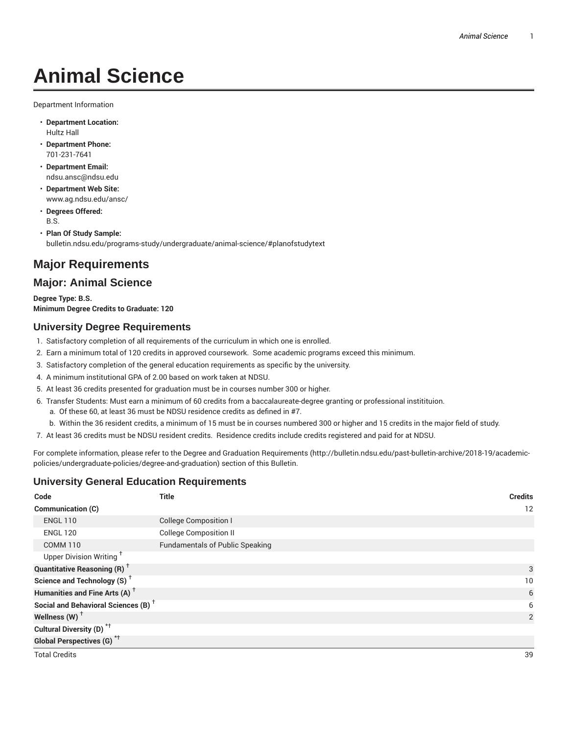# **Animal Science**

Department Information

- **Department Location:** Hultz Hall
- **Department Phone:** 701-231-7641
- **Department Email:** ndsu.ansc@ndsu.edu
- **Department Web Site:** www.ag.ndsu.edu/ansc/
- **Degrees Offered:** B.S.
- **Plan Of Study Sample:** bulletin.ndsu.edu/programs-study/undergraduate/animal-science/#planofstudytext

# **Major Requirements**

# **Major: Animal Science**

**Degree Type: B.S. Minimum Degree Credits to Graduate: 120**

# **University Degree Requirements**

- 1. Satisfactory completion of all requirements of the curriculum in which one is enrolled.
- 2. Earn a minimum total of 120 credits in approved coursework. Some academic programs exceed this minimum.
- 3. Satisfactory completion of the general education requirements as specific by the university.
- 4. A minimum institutional GPA of 2.00 based on work taken at NDSU.
- 5. At least 36 credits presented for graduation must be in courses number 300 or higher.
- 6. Transfer Students: Must earn a minimum of 60 credits from a baccalaureate-degree granting or professional institituion.
	- a. Of these 60, at least 36 must be NDSU residence credits as defined in #7.
	- b. Within the 36 resident credits, a minimum of 15 must be in courses numbered 300 or higher and 15 credits in the major field of study.
- 7. At least 36 credits must be NDSU resident credits. Residence credits include credits registered and paid for at NDSU.

For complete information, please refer to the Degree and Graduation Requirements (http://bulletin.ndsu.edu/past-bulletin-archive/2018-19/academicpolicies/undergraduate-policies/degree-and-graduation) section of this Bulletin.

# **University General Education Requirements**

| Code                                            | <b>Title</b>                           | <b>Credits</b> |
|-------------------------------------------------|----------------------------------------|----------------|
| Communication (C)                               |                                        | 12             |
| <b>ENGL 110</b>                                 | <b>College Composition I</b>           |                |
| <b>ENGL 120</b>                                 | <b>College Composition II</b>          |                |
| <b>COMM 110</b>                                 | <b>Fundamentals of Public Speaking</b> |                |
| Upper Division Writing <sup>+</sup>             |                                        |                |
| <b>Quantitative Reasoning (R)</b> <sup>+</sup>  |                                        | 3              |
| Science and Technology (S) <sup>+</sup>         |                                        | 10             |
| Humanities and Fine Arts (A) <sup>+</sup>       |                                        | 6              |
| Social and Behavioral Sciences (B) <sup>+</sup> |                                        | 6              |
| Wellness $(W)$ <sup>+</sup>                     |                                        | $\overline{2}$ |
| Cultural Diversity (D) <sup>*†</sup>            |                                        |                |
| <b>Global Perspectives (G)</b> <sup>*†</sup>    |                                        |                |
| <b>Total Credits</b>                            |                                        | 39             |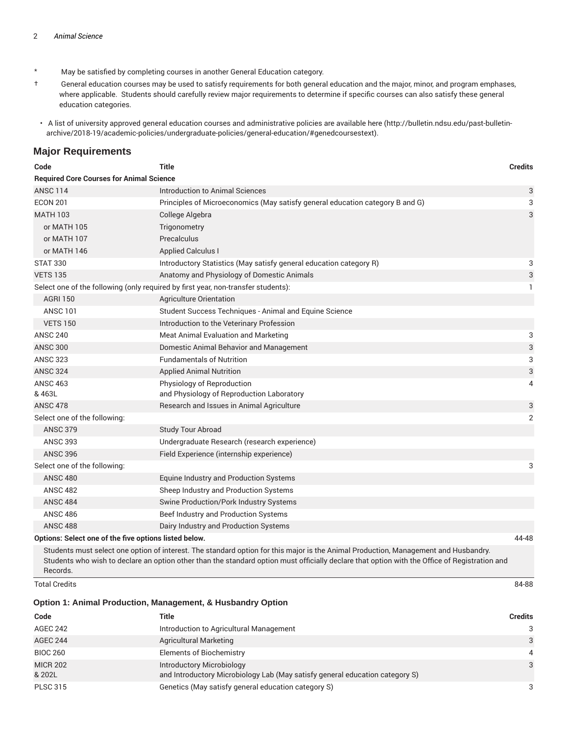- \* May be satisfied by completing courses in another General Education category.
- † General education courses may be used to satisfy requirements for both general education and the major, minor, and program emphases, where applicable. Students should carefully review major requirements to determine if specific courses can also satisfy these general education categories.
- A list of university approved general education courses and administrative policies are available here (http://bulletin.ndsu.edu/past-bulletinarchive/2018-19/academic-policies/undergraduate-policies/general-education/#genedcoursestext).

### **Major Requirements**

| Code                                                  | Title                                                                             | <b>Credits</b> |
|-------------------------------------------------------|-----------------------------------------------------------------------------------|----------------|
| <b>Required Core Courses for Animal Science</b>       |                                                                                   |                |
| <b>ANSC 114</b>                                       | Introduction to Animal Sciences                                                   | 3              |
| <b>ECON 201</b>                                       | Principles of Microeconomics (May satisfy general education category B and G)     | 3              |
| <b>MATH 103</b>                                       | College Algebra                                                                   | 3              |
| or MATH 105                                           | Trigonometry                                                                      |                |
| or MATH 107                                           | Precalculus                                                                       |                |
| or MATH 146                                           | <b>Applied Calculus I</b>                                                         |                |
| <b>STAT 330</b>                                       | Introductory Statistics (May satisfy general education category R)                | 3              |
| <b>VETS 135</b>                                       | Anatomy and Physiology of Domestic Animals                                        | 3              |
|                                                       | Select one of the following (only required by first year, non-transfer students): | 1              |
| <b>AGRI 150</b>                                       | Agriculture Orientation                                                           |                |
| <b>ANSC 101</b>                                       | Student Success Techniques - Animal and Equine Science                            |                |
| <b>VETS 150</b>                                       | Introduction to the Veterinary Profession                                         |                |
| <b>ANSC 240</b>                                       | Meat Animal Evaluation and Marketing                                              | 3              |
| <b>ANSC 300</b>                                       | Domestic Animal Behavior and Management                                           | 3              |
| <b>ANSC 323</b>                                       | <b>Fundamentals of Nutrition</b>                                                  | 3              |
| <b>ANSC 324</b>                                       | <b>Applied Animal Nutrition</b>                                                   | 3              |
| <b>ANSC 463</b>                                       | Physiology of Reproduction                                                        | 4              |
| & 463L                                                | and Physiology of Reproduction Laboratory                                         |                |
| <b>ANSC 478</b>                                       | Research and Issues in Animal Agriculture                                         | 3              |
| Select one of the following:                          |                                                                                   | $\overline{2}$ |
| <b>ANSC 379</b>                                       | <b>Study Tour Abroad</b>                                                          |                |
| <b>ANSC 393</b>                                       | Undergraduate Research (research experience)                                      |                |
| <b>ANSC 396</b>                                       | Field Experience (internship experience)                                          |                |
| Select one of the following:                          |                                                                                   | 3              |
| <b>ANSC 480</b>                                       | Equine Industry and Production Systems                                            |                |
| <b>ANSC 482</b>                                       | Sheep Industry and Production Systems                                             |                |
| <b>ANSC 484</b>                                       | Swine Production/Pork Industry Systems                                            |                |
| <b>ANSC 486</b>                                       | Beef Industry and Production Systems                                              |                |
| <b>ANSC 488</b>                                       | Dairy Industry and Production Systems                                             |                |
| Options: Select one of the five options listed below. | the contract of the contract of the contract of the contract of the contract of   | 44-48          |

Students must select one option of interest. The standard option for this major is the Animal Production, Management and Husbandry. Students who wish to declare an option other than the standard option must officially declare that option with the Office of Registration and Records.

Total Credits 84-88

### **Option 1: Animal Production, Management, & Husbandry Option**

| Code                      | Title                                                                                                            | <b>Credits</b> |
|---------------------------|------------------------------------------------------------------------------------------------------------------|----------------|
| AGEC 242                  | Introduction to Agricultural Management                                                                          | 3              |
| <b>AGEC 244</b>           | <b>Agricultural Marketing</b>                                                                                    | 3              |
| <b>BIOC 260</b>           | <b>Elements of Biochemistry</b>                                                                                  | $\overline{4}$ |
| <b>MICR 202</b><br>& 202L | <b>Introductory Microbiology</b><br>and Introductory Microbiology Lab (May satisfy general education category S) | 3              |
| <b>PLSC 315</b>           | Genetics (May satisfy general education category S)                                                              | 3              |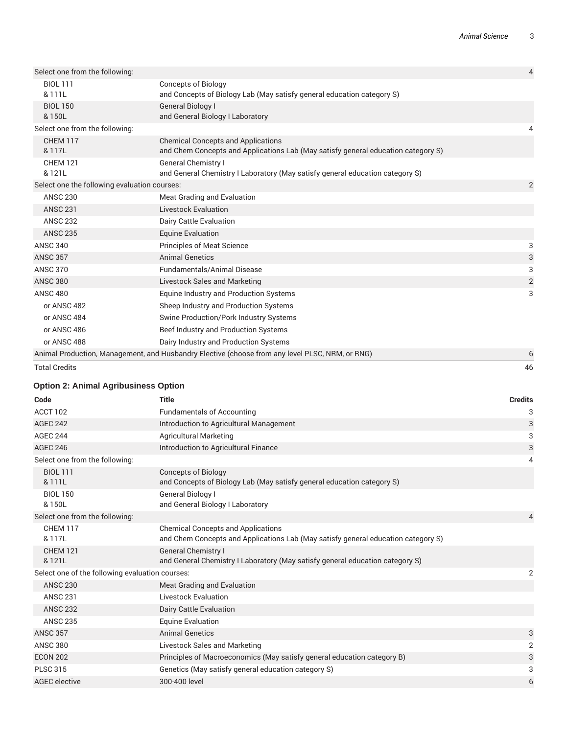| <b>Total Credits</b>                         |                                                                                                                                | 46             |
|----------------------------------------------|--------------------------------------------------------------------------------------------------------------------------------|----------------|
|                                              | Animal Production, Management, and Husbandry Elective (choose from any level PLSC, NRM, or RNG)                                | 6              |
| or ANSC 488                                  | Dairy Industry and Production Systems                                                                                          |                |
| or ANSC 486                                  | Beef Industry and Production Systems                                                                                           |                |
| or ANSC 484                                  | Swine Production/Pork Industry Systems                                                                                         |                |
| or ANSC 482                                  | Sheep Industry and Production Systems                                                                                          |                |
| <b>ANSC 480</b>                              | Equine Industry and Production Systems                                                                                         | 3              |
| <b>ANSC 380</b>                              | <b>Livestock Sales and Marketing</b>                                                                                           | $\overline{2}$ |
| <b>ANSC 370</b>                              | <b>Fundamentals/Animal Disease</b>                                                                                             | 3              |
| <b>ANSC 357</b>                              | <b>Animal Genetics</b>                                                                                                         | 3              |
| <b>ANSC 340</b>                              | <b>Principles of Meat Science</b>                                                                                              | 3              |
| <b>ANSC 235</b>                              | <b>Equine Evaluation</b>                                                                                                       |                |
| <b>ANSC 232</b>                              | Dairy Cattle Evaluation                                                                                                        |                |
| <b>ANSC 231</b>                              | <b>Livestock Evaluation</b>                                                                                                    |                |
| <b>ANSC 230</b>                              | Meat Grading and Evaluation                                                                                                    |                |
| Select one the following evaluation courses: |                                                                                                                                | $\overline{2}$ |
| <b>CHEM 121</b><br>& 121L                    | <b>General Chemistry I</b><br>and General Chemistry I Laboratory (May satisfy general education category S)                    |                |
| <b>CHEM 117</b><br>& 117L                    | <b>Chemical Concepts and Applications</b><br>and Chem Concepts and Applications Lab (May satisfy general education category S) |                |
| Select one from the following:               |                                                                                                                                | 4              |
| <b>BIOL 150</b><br>& 150L                    | <b>General Biology I</b><br>and General Biology I Laboratory                                                                   |                |
| <b>BIOL 111</b><br>& 111L                    | <b>Concepts of Biology</b><br>and Concepts of Biology Lab (May satisfy general education category S)                           |                |
| Select one from the following:               |                                                                                                                                | $\overline{4}$ |
|                                              |                                                                                                                                |                |

### **Option 2: Animal Agribusiness Option**

| Code                                            | <b>Title</b>                                                                                                                   | <b>Credits</b>          |
|-------------------------------------------------|--------------------------------------------------------------------------------------------------------------------------------|-------------------------|
| ACCT 102                                        | <b>Fundamentals of Accounting</b>                                                                                              | 3                       |
| <b>AGEC 242</b>                                 | Introduction to Agricultural Management                                                                                        | 3                       |
| <b>AGEC 244</b>                                 | <b>Agricultural Marketing</b>                                                                                                  | 3                       |
| <b>AGEC 246</b>                                 | Introduction to Agricultural Finance                                                                                           | 3                       |
| Select one from the following:                  |                                                                                                                                | 4                       |
| <b>BIOL 111</b><br>& 111L                       | <b>Concepts of Biology</b><br>and Concepts of Biology Lab (May satisfy general education category S)                           |                         |
| <b>BIOL 150</b><br>& 150L                       | General Biology I<br>and General Biology I Laboratory                                                                          |                         |
| Select one from the following:                  |                                                                                                                                | 4                       |
| <b>CHEM 117</b><br>& 117L                       | <b>Chemical Concepts and Applications</b><br>and Chem Concepts and Applications Lab (May satisfy general education category S) |                         |
| <b>CHEM 121</b><br>& 121L                       | <b>General Chemistry I</b><br>and General Chemistry I Laboratory (May satisfy general education category S)                    |                         |
| Select one of the following evaluation courses: |                                                                                                                                | $\overline{2}$          |
| <b>ANSC 230</b>                                 | Meat Grading and Evaluation                                                                                                    |                         |
| <b>ANSC 231</b>                                 | <b>Livestock Evaluation</b>                                                                                                    |                         |
| <b>ANSC 232</b>                                 | Dairy Cattle Evaluation                                                                                                        |                         |
| <b>ANSC 235</b>                                 | <b>Equine Evaluation</b>                                                                                                       |                         |
| <b>ANSC 357</b>                                 | <b>Animal Genetics</b>                                                                                                         | 3                       |
| <b>ANSC 380</b>                                 | Livestock Sales and Marketing                                                                                                  | $\overline{\mathbf{c}}$ |
| <b>ECON 202</b>                                 | Principles of Macroeconomics (May satisfy general education category B)                                                        | 3                       |
| <b>PLSC 315</b>                                 | Genetics (May satisfy general education category S)                                                                            | 3                       |
| <b>AGEC</b> elective                            | 300-400 level                                                                                                                  | 6                       |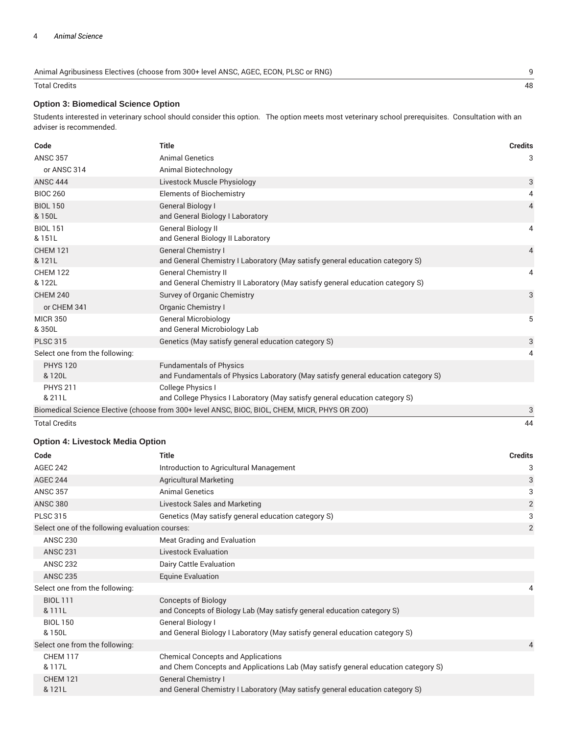| Animal Agribusiness Electives (choose from 300+ level ANSC, AGEC, ECON, PLSC or RNG) |    |
|--------------------------------------------------------------------------------------|----|
| Total Credits                                                                        | 48 |

### **Option 3: Biomedical Science Option**

Students interested in veterinary school should consider this option. The option meets most veterinary school prerequisites. Consultation with an adviser is recommended.

| Code                           | <b>Title</b>                                                                                                        | <b>Credits</b> |
|--------------------------------|---------------------------------------------------------------------------------------------------------------------|----------------|
| <b>ANSC 357</b>                | <b>Animal Genetics</b>                                                                                              | 3              |
| or ANSC 314                    | Animal Biotechnology                                                                                                |                |
| <b>ANSC 444</b>                | Livestock Muscle Physiology                                                                                         | 3              |
| <b>BIOC 260</b>                | <b>Elements of Biochemistry</b>                                                                                     | 4              |
| <b>BIOL 150</b><br>& 150L      | General Biology I<br>and General Biology I Laboratory                                                               | $\overline{4}$ |
| <b>BIOL 151</b><br>& 151L      | <b>General Biology II</b><br>and General Biology II Laboratory                                                      | 4              |
| <b>CHEM 121</b><br>& 121L      | <b>General Chemistry I</b><br>and General Chemistry I Laboratory (May satisfy general education category S)         | $\overline{4}$ |
| <b>CHEM 122</b><br>& 122L      | <b>General Chemistry II</b><br>and General Chemistry II Laboratory (May satisfy general education category S)       | 4              |
| <b>CHEM 240</b>                | Survey of Organic Chemistry                                                                                         | 3              |
| or CHEM 341                    | Organic Chemistry I                                                                                                 |                |
| <b>MICR 350</b><br>& 350L      | <b>General Microbiology</b><br>and General Microbiology Lab                                                         | 5              |
| <b>PLSC 315</b>                | Genetics (May satisfy general education category S)                                                                 | 3              |
| Select one from the following: |                                                                                                                     | 4              |
| <b>PHYS 120</b><br>& 120L      | <b>Fundamentals of Physics</b><br>and Fundamentals of Physics Laboratory (May satisfy general education category S) |                |
| <b>PHYS 211</b>                | <b>College Physics I</b>                                                                                            |                |
| & 211L                         | and College Physics I Laboratory (May satisfy general education category S)                                         |                |
|                                | Biomedical Science Elective (choose from 300+ level ANSC, BIOC, BIOL, CHEM, MICR, PHYS OR ZOO)                      | 3              |
| <b>Total Credits</b>           |                                                                                                                     | 44             |

# **Option 4: Livestock Media Option**

| Code                                            | <b>Title</b>                                                                                                                   | <b>Credits</b> |
|-------------------------------------------------|--------------------------------------------------------------------------------------------------------------------------------|----------------|
| <b>AGEC 242</b>                                 | Introduction to Agricultural Management                                                                                        | 3              |
| <b>AGEC 244</b>                                 | <b>Agricultural Marketing</b>                                                                                                  | 3              |
| <b>ANSC 357</b>                                 | <b>Animal Genetics</b>                                                                                                         | 3              |
| <b>ANSC 380</b>                                 | Livestock Sales and Marketing                                                                                                  | $\overline{2}$ |
| <b>PLSC 315</b>                                 | Genetics (May satisfy general education category S)                                                                            | 3              |
| Select one of the following evaluation courses: |                                                                                                                                | $\overline{2}$ |
| <b>ANSC 230</b>                                 | Meat Grading and Evaluation                                                                                                    |                |
| <b>ANSC 231</b>                                 | <b>Livestock Evaluation</b>                                                                                                    |                |
| <b>ANSC 232</b>                                 | Dairy Cattle Evaluation                                                                                                        |                |
| <b>ANSC 235</b>                                 | <b>Equine Evaluation</b>                                                                                                       |                |
| Select one from the following:                  |                                                                                                                                | 4              |
| <b>BIOL 111</b><br>& 111L                       | <b>Concepts of Biology</b><br>and Concepts of Biology Lab (May satisfy general education category S)                           |                |
| <b>BIOL 150</b><br>& 150L                       | General Biology I<br>and General Biology I Laboratory (May satisfy general education category S)                               |                |
| Select one from the following:                  |                                                                                                                                | 4              |
| <b>CHEM 117</b><br>& 117L                       | <b>Chemical Concepts and Applications</b><br>and Chem Concepts and Applications Lab (May satisfy general education category S) |                |
| <b>CHEM 121</b><br>& 121L                       | <b>General Chemistry I</b><br>and General Chemistry I Laboratory (May satisfy general education category S)                    |                |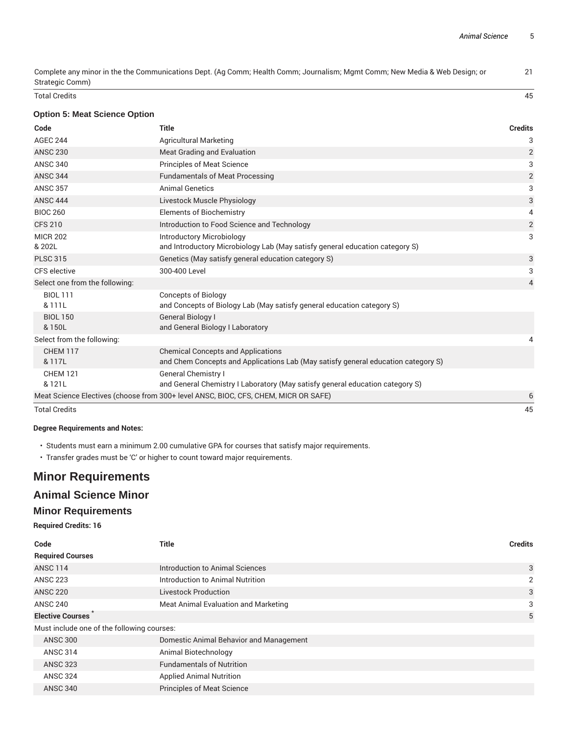Complete any minor in the the Communications Dept. (Ag Comm; Health Comm; Journalism; Mgmt Comm; New Media & Web Design; or Strategic Comm)

Total Credits 45

### **Option 5: Meat Science Option**

| Code                           | <b>Title</b>                                                                                                                   | <b>Credits</b>          |
|--------------------------------|--------------------------------------------------------------------------------------------------------------------------------|-------------------------|
| <b>AGEC 244</b>                | Agricultural Marketing                                                                                                         | 3                       |
| <b>ANSC 230</b>                | <b>Meat Grading and Evaluation</b>                                                                                             | 2                       |
| <b>ANSC 340</b>                | <b>Principles of Meat Science</b>                                                                                              | 3                       |
| <b>ANSC 344</b>                | <b>Fundamentals of Meat Processing</b>                                                                                         | $\overline{2}$          |
| <b>ANSC 357</b>                | <b>Animal Genetics</b>                                                                                                         | 3                       |
| <b>ANSC 444</b>                | Livestock Muscle Physiology                                                                                                    | 3                       |
| <b>BIOC 260</b>                | <b>Elements of Biochemistry</b>                                                                                                | 4                       |
| <b>CFS 210</b>                 | Introduction to Food Science and Technology                                                                                    | $\overline{\mathbf{c}}$ |
| <b>MICR 202</b><br>& 202L      | <b>Introductory Microbiology</b><br>and Introductory Microbiology Lab (May satisfy general education category S)               | 3                       |
| <b>PLSC 315</b>                | Genetics (May satisfy general education category S)                                                                            | 3                       |
| CFS elective                   | 300-400 Level                                                                                                                  | 3                       |
| Select one from the following: |                                                                                                                                | 4                       |
| <b>BIOL 111</b><br>& 111L      | <b>Concepts of Biology</b><br>and Concepts of Biology Lab (May satisfy general education category S)                           |                         |
| <b>BIOL 150</b><br>& 150L      | <b>General Biology I</b><br>and General Biology I Laboratory                                                                   |                         |
| Select from the following:     |                                                                                                                                | 4                       |
| <b>CHEM 117</b><br>& 117L      | <b>Chemical Concepts and Applications</b><br>and Chem Concepts and Applications Lab (May satisfy general education category S) |                         |
| <b>CHEM 121</b>                | <b>General Chemistry I</b>                                                                                                     |                         |
| & 121L                         | and General Chemistry I Laboratory (May satisfy general education category S)                                                  |                         |
|                                | Meat Science Electives (choose from 300+ level ANSC, BIOC, CFS, CHEM, MICR OR SAFE)                                            | 6                       |
| <b>Total Credits</b>           |                                                                                                                                | 45                      |

### **Degree Requirements and Notes:**

- Students must earn a minimum 2.00 cumulative GPA for courses that satisfy major requirements.
- Transfer grades must be 'C' or higher to count toward major requirements.

# **Minor Requirements**

# **Animal Science Minor**

### **Minor Requirements**

### **Required Credits: 16**

| Code                                       | Title                                   | <b>Credits</b> |
|--------------------------------------------|-----------------------------------------|----------------|
| <b>Required Courses</b>                    |                                         |                |
| <b>ANSC 114</b>                            | Introduction to Animal Sciences         | 3              |
| <b>ANSC 223</b>                            | Introduction to Animal Nutrition        | 2              |
| <b>ANSC 220</b>                            | <b>Livestock Production</b>             | 3              |
| <b>ANSC 240</b>                            | Meat Animal Evaluation and Marketing    | 3              |
| <b>Elective Courses</b>                    |                                         | 5              |
| Must include one of the following courses: |                                         |                |
| <b>ANSC 300</b>                            | Domestic Animal Behavior and Management |                |
| <b>ANSC 314</b>                            | Animal Biotechnology                    |                |
| <b>ANSC 323</b>                            | <b>Fundamentals of Nutrition</b>        |                |
| <b>ANSC 324</b>                            | <b>Applied Animal Nutrition</b>         |                |
| <b>ANSC 340</b>                            | <b>Principles of Meat Science</b>       |                |

21